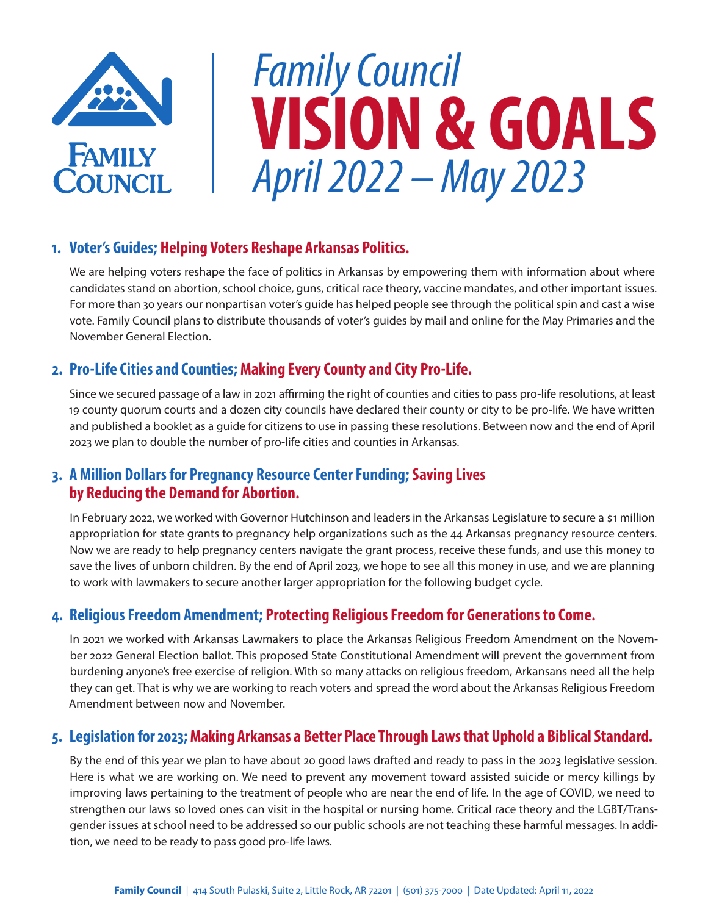

# *Family Council*  **VISION & GOALS** *April 2022 – May 2023*

## **1. Voter's Guides; Helping Voters Reshape Arkansas Politics.**

We are helping voters reshape the face of politics in Arkansas by empowering them with information about where candidates stand on abortion, school choice, guns, critical race theory, vaccine mandates, and other important issues. For more than 30 years our nonpartisan voter's guide has helped people see through the political spin and cast a wise vote. Family Council plans to distribute thousands of voter's guides by mail and online for the May Primaries and the November General Election.

## **2. Pro-Life Cities and Counties; Making Every County and City Pro-Life.**

Since we secured passage of a law in 2021 affirming the right of counties and cities to pass pro-life resolutions, at least 19 county quorum courts and a dozen city councils have declared their county or city to be pro-life. We have written and published a booklet as a guide for citizens to use in passing these resolutions. Between now and the end of April 2023 we plan to double the number of pro-life cities and counties in Arkansas.

# **3. A Million Dollars for Pregnancy Resource Center Funding; Saving Lives by Reducing the Demand for Abortion.**

In February 2022, we worked with Governor Hutchinson and leaders in the Arkansas Legislature to secure a \$1 million appropriation for state grants to pregnancy help organizations such as the 44 Arkansas pregnancy resource centers. Now we are ready to help pregnancy centers navigate the grant process, receive these funds, and use this money to save the lives of unborn children. By the end of April 2023, we hope to see all this money in use, and we are planning to work with lawmakers to secure another larger appropriation for the following budget cycle.

#### **4. Religious Freedom Amendment; Protecting Religious Freedom for Generations to Come.**

In 2021 we worked with Arkansas Lawmakers to place the Arkansas Religious Freedom Amendment on the November 2022 General Election ballot. This proposed State Constitutional Amendment will prevent the government from burdening anyone's free exercise of religion. With so many attacks on religious freedom, Arkansans need all the help they can get. That is why we are working to reach voters and spread the word about the Arkansas Religious Freedom Amendment between now and November.

# **5. Legislation for 2023; Making Arkansas a Better Place Through Laws that Uphold a Biblical Standard.**

By the end of this year we plan to have about 20 good laws drafted and ready to pass in the 2023 legislative session. Here is what we are working on. We need to prevent any movement toward assisted suicide or mercy killings by improving laws pertaining to the treatment of people who are near the end of life. In the age of COVID, we need to strengthen our laws so loved ones can visit in the hospital or nursing home. Critical race theory and the LGBT/Transgender issues at school need to be addressed so our public schools are not teaching these harmful messages. In addition, we need to be ready to pass good pro-life laws.